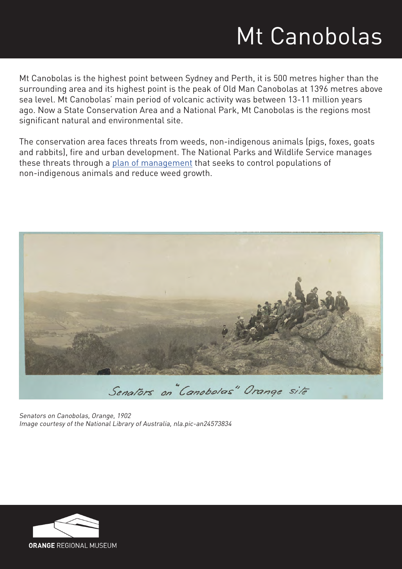# Mt Canobolas

Mt Canobolas is the highest point between Sydney and Perth, it is 500 metres higher than the surrounding area and its highest point is the peak of Old Man Canobolas at 1396 metres above sea level. Mt Canobolas' main period of volcanic activity was between 13-11 million years ago. Now a State Conservation Area and a National Park, Mt Canobolas is the regions most significant natural and environmental site.

The conservation area faces threats from weeds, non-indigenous animals (pigs, foxes, goats and rabbits), fire and urban development. The National Parks and Wildlife Service manages these threats through a [plan of management](http://www.environment.nsw.gov.au/resources/planmanagement/final/mtcanobolas.pdf) that seeks to control populations of non-indigenous animals and reduce weed growth.



Senators on Canobolas, Orange, 1902 Image courtesy of the National Library of Australia, nla.pic-an24573834

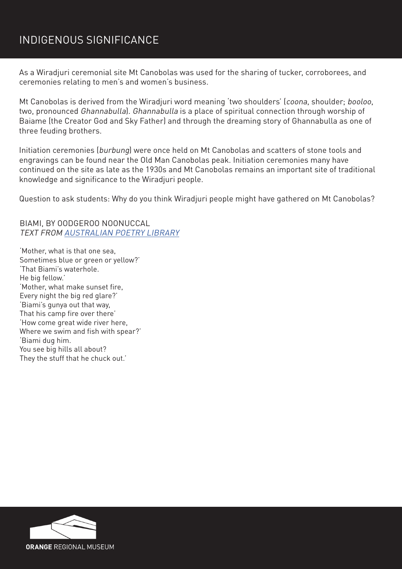#### INDIGENOUS SIGNIFICANCE

As a Wiradjuri ceremonial site Mt Canobolas was used for the sharing of tucker, corroborees, and ceremonies relating to men's and women's business.

Mt Canobolas is derived from the Wiradjuri word meaning 'two shoulders' (coona, shoulder; booloo, two, pronounced Ghannabulla). Ghannabulla is a place of spiritual connection through worship of Baiame (the Creator God and Sky Father) and through the dreaming story of Ghannabulla as one of three feuding brothers.

Initiation ceremonies (burbung) were once held on Mt Canobolas and scatters of stone tools and engravings can be found near the Old Man Canobolas peak. Initiation ceremonies many have continued on the site as late as the 1930s and Mt Canobolas remains an important site of traditional knowledge and significance to the Wiradjuri people.

Question to ask students: Why do you think Wiradjuri people might have gathered on Mt Canobolas?

BIAMI, BY OODGEROO NOONUCCAL TEXT FROM [AUSTRALIAN POETRY LIBRARY](http://www.poetrylibrary.edu.au/poets/noonuccal-oodgeroo/biami-0719060%20)

'Mother, what is that one sea, Sometimes blue or green or yellow?' 'That Biami's waterhole. He big fellow.' 'Mother, what make sunset fire, Every night the big red glare?' 'Biami's gunya out that way, That his camp fire over there' 'How come great wide river here, Where we swim and fish with spear?' 'Biami dug him. You see big hills all about? They the stuff that he chuck out.'

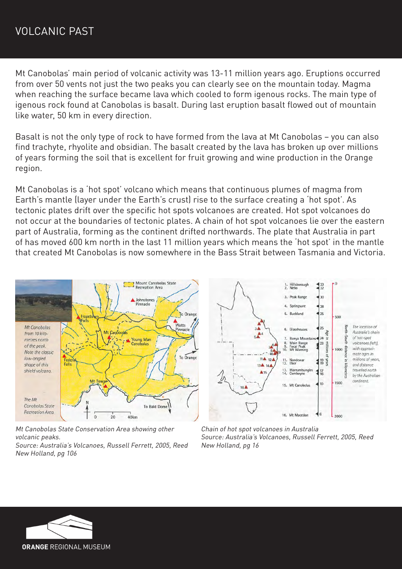Mt Canobolas' main period of volcanic activity was 13-11 million years ago. Eruptions occurred from over 50 vents not just the two peaks you can clearly see on the mountain today. Magma when reaching the surface became lava which cooled to form igenous rocks. The main type of igenous rock found at Canobolas is basalt. During last eruption basalt flowed out of mountain like water, 50 km in every direction.

Basalt is not the only type of rock to have formed from the lava at Mt Canobolas – you can also find trachyte, rhyolite and obsidian. The basalt created by the lava has broken up over millions of years forming the soil that is excellent for fruit growing and wine production in the Orange region.

Mt Canobolas is a 'hot spot' volcano which means that continuous plumes of magma from Earth's mantle (layer under the Earth's crust) rise to the surface creating a 'hot spot'. As tectonic plates drift over the specific hot spots volcanoes are created. Hot spot volcanoes do not occur at the boundaries of tectonic plates. A chain of hot spot volcanoes lie over the eastern part of Australia, forming as the continent drifted northwards. The plate that Australia in part of has moved 600 km north in the last 11 million years which means the 'hot spot' in the mantle that created Mt Canobolas is now somewhere in the Bass Strait between Tasmania and Victoria.



Mt Canobolas State Conservation Area showing other volcanic peaks. Source: Australia's Volcanoes, Russell Ferrett, 2005, Reed

New Holland, pg 106



Chain of hot spot volcanoes in Australia Source: Australia's Volcanoes, Russell Ferrett, 2005, Reed New Holland, pg 16



**ORANGE REGIONAL MUSEUM**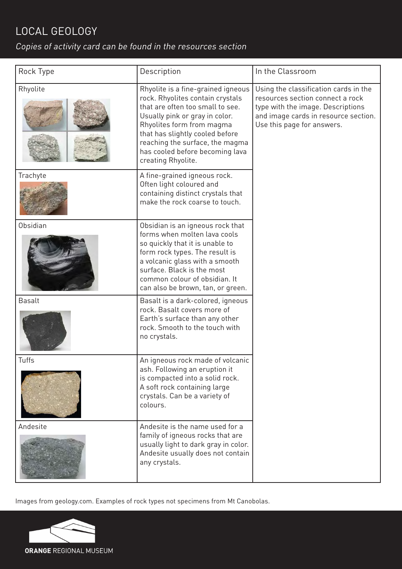### LOCAL GEOLOGY

#### Copies of activity card can be found in the resources section

| Rock Type     | Description                                                                                                                                                                                                                                                                                              | In the Classroom                                                                                                                                                                     |
|---------------|----------------------------------------------------------------------------------------------------------------------------------------------------------------------------------------------------------------------------------------------------------------------------------------------------------|--------------------------------------------------------------------------------------------------------------------------------------------------------------------------------------|
| Rhyolite      | Rhyolite is a fine-grained igneous<br>rock. Rhyolites contain crystals<br>that are often too small to see.<br>Usually pink or gray in color.<br>Rhyolites form from magma<br>that has slightly cooled before<br>reaching the surface, the magma<br>has cooled before becoming lava<br>creating Rhyolite. | Using the classification cards in the<br>resources section connect a rock<br>type with the image. Descriptions<br>and image cards in resource section.<br>Use this page for answers. |
| Trachyte      | A fine-grained igneous rock.<br>Often light coloured and<br>containing distinct crystals that<br>make the rock coarse to touch.                                                                                                                                                                          |                                                                                                                                                                                      |
| Obsidian      | Obsidian is an igneous rock that<br>forms when molten lava cools<br>so quickly that it is unable to<br>form rock types. The result is<br>a volcanic glass with a smooth<br>surface. Black is the most<br>common colour of obsidian. It<br>can also be brown, tan, or green.                              |                                                                                                                                                                                      |
| <b>Basalt</b> | Basalt is a dark-colored, igneous<br>rock. Basalt covers more of<br>Earth's surface than any other<br>rock. Smooth to the touch with<br>no crystals.                                                                                                                                                     |                                                                                                                                                                                      |
| Tuffs         | An igneous rock made of volcanic<br>ash. Following an eruption it<br>is compacted into a solid rock.<br>A soft rock containing large<br>crystals. Can be a variety of<br>colours.                                                                                                                        |                                                                                                                                                                                      |
| Andesite      | Andesite is the name used for a<br>family of igneous rocks that are<br>usually light to dark gray in color.<br>Andesite usually does not contain<br>any crystals.                                                                                                                                        |                                                                                                                                                                                      |

Images from geology.com. Examples of rock types not specimens from Mt Canobolas.

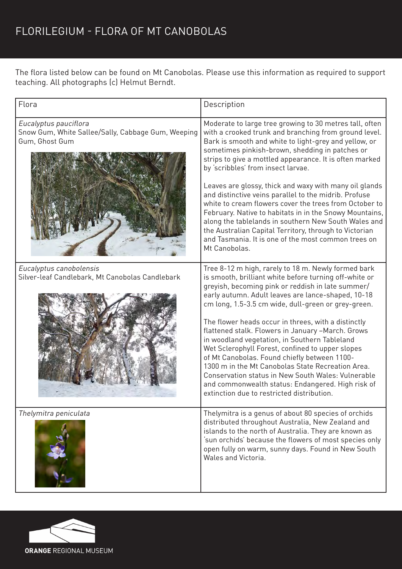The flora listed below can be found on Mt Canobolas. Please use this information as required to support teaching. All photographs (c) Helmut Berndt.

| Flora                                                                                         | Description                                                                                                                                                                                                                                                                                                                                                                                                                                                                                                                                                                                                                                                                                                                                                     |
|-----------------------------------------------------------------------------------------------|-----------------------------------------------------------------------------------------------------------------------------------------------------------------------------------------------------------------------------------------------------------------------------------------------------------------------------------------------------------------------------------------------------------------------------------------------------------------------------------------------------------------------------------------------------------------------------------------------------------------------------------------------------------------------------------------------------------------------------------------------------------------|
| Eucalyptus pauciflora<br>Snow Gum, White Sallee/Sally, Cabbage Gum, Weeping<br>Gum, Ghost Gum | Moderate to large tree growing to 30 metres tall, often<br>with a crooked trunk and branching from ground level.<br>Bark is smooth and white to light-grey and yellow, or<br>sometimes pinkish-brown, shedding in patches or<br>strips to give a mottled appearance. It is often marked<br>by 'scribbles' from insect larvae.<br>Leaves are glossy, thick and waxy with many oil glands<br>and distinctive veins parallel to the midrib. Profuse<br>white to cream flowers cover the trees from October to<br>February. Native to habitats in in the Snowy Mountains,<br>along the tablelands in southern New South Wales and<br>the Australian Capital Territory, through to Victorian<br>and Tasmania. It is one of the most common trees on<br>Mt Canobolas. |
| Eucalyptus canobolensis<br>Silver-leaf Candlebark, Mt Canobolas Candlebark                    | Tree 8-12 m high, rarely to 18 m. Newly formed bark<br>is smooth, brilliant white before turning off-white or<br>greyish, becoming pink or reddish in late summer/<br>early autumn. Adult leaves are lance-shaped, 10-18<br>cm long, 1.5-3.5 cm wide, dull-green or grey-green.<br>The flower heads occur in threes, with a distinctly<br>flattened stalk. Flowers in January -March. Grows<br>in woodland vegetation, in Southern Tableland<br>Wet Sclerophyll Forest, confined to upper slopes<br>of Mt Canobolas. Found chiefly between 1100-<br>1300 m in the Mt Canobolas State Recreation Area.<br>Conservation status in New South Wales: Vulnerable<br>and commonwealth status: Endangered. High risk of<br>extinction due to restricted distribution.  |
| Thelymitra peniculata                                                                         | Thelymitra is a genus of about 80 species of orchids<br>distributed throughout Australia, New Zealand and<br>islands to the north of Australia. They are known as<br>'sun orchids' because the flowers of most species only<br>open fully on warm, sunny days. Found in New South<br>Wales and Victoria.                                                                                                                                                                                                                                                                                                                                                                                                                                                        |

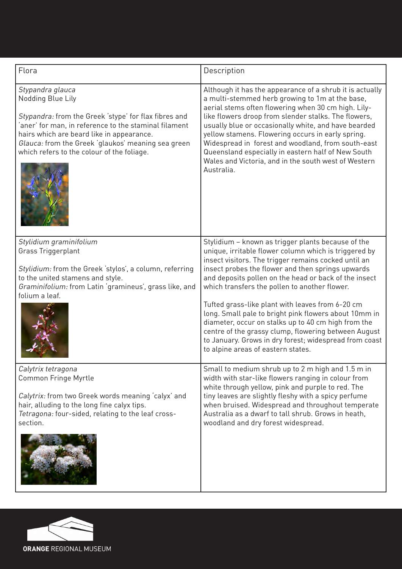| Flora                                                                                                                                                                                                                                                                                                    | Description                                                                                                                                                                                                                                                                                                                                                                                                                                                                                                                                                                                                                                                    |
|----------------------------------------------------------------------------------------------------------------------------------------------------------------------------------------------------------------------------------------------------------------------------------------------------------|----------------------------------------------------------------------------------------------------------------------------------------------------------------------------------------------------------------------------------------------------------------------------------------------------------------------------------------------------------------------------------------------------------------------------------------------------------------------------------------------------------------------------------------------------------------------------------------------------------------------------------------------------------------|
| Stypandra glauca<br>Nodding Blue Lily<br>Stypandra: from the Greek 'stype' for flax fibres and<br>'aner' for man, in reference to the staminal filament<br>hairs which are beard like in appearance.<br>Glauca: from the Greek 'glaukos' meaning sea green<br>which refers to the colour of the foliage. | Although it has the appearance of a shrub it is actually<br>a multi-stemmed herb growing to 1m at the base,<br>aerial stems often flowering when 30 cm high. Lily-<br>like flowers droop from slender stalks. The flowers,<br>usually blue or occasionally white, and have bearded<br>yellow stamens. Flowering occurs in early spring.<br>Widespread in forest and woodland, from south-east<br>Queensland especially in eastern half of New South<br>Wales and Victoria, and in the south west of Western<br>Australia.                                                                                                                                      |
| Stylidium graminifolium<br>Grass Triggerplant<br>Stylidium: from the Greek 'stylos', a column, referring<br>to the united stamens and style.<br>Graminifolium: from Latin 'gramineus', grass like, and<br>folium a leaf.                                                                                 | Stylidium - known as trigger plants because of the<br>unique, irritable flower column which is triggered by<br>insect visitors. The trigger remains cocked until an<br>insect probes the flower and then springs upwards<br>and deposits pollen on the head or back of the insect<br>which transfers the pollen to another flower.<br>Tufted grass-like plant with leaves from 6-20 cm<br>long. Small pale to bright pink flowers about 10mm in<br>diameter, occur on stalks up to 40 cm high from the<br>centre of the grassy clump, flowering between August<br>to January. Grows in dry forest; widespread from coast<br>to alpine areas of eastern states. |
| Calytrix tetragona<br>Common Fringe Myrtle<br>Calytrix: from two Greek words meaning 'calyx' and<br>hair, alluding to the long fine calyx tips.<br>Tetragona: four-sided, relating to the leaf cross-<br>section.                                                                                        | Small to medium shrub up to 2 m high and 1.5 m in<br>width with star-like flowers ranging in colour from<br>white through yellow, pink and purple to red. The<br>tiny leaves are slightly fleshy with a spicy perfume<br>when bruised. Widespread and throughout temperate<br>Australia as a dwarf to tall shrub. Grows in heath,<br>woodland and dry forest widespread.                                                                                                                                                                                                                                                                                       |

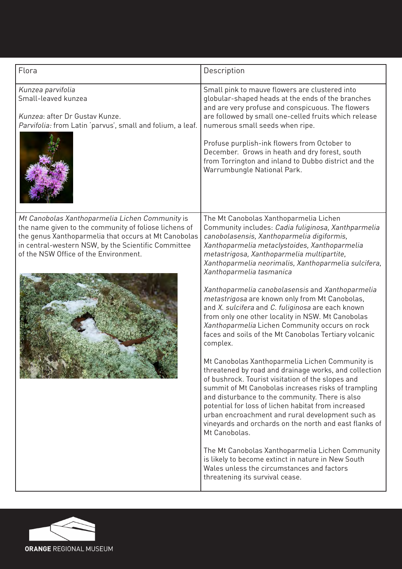| Flora                                                                                                                                                                                                                                                            | Description                                                                                                                                                                                                                                                                                                                                                                                                                                                                                                                                                                                                                                                                                                                                                                                                                                                                                                                                                                                                                                                                                                                                                                                                                                                                                                                       |
|------------------------------------------------------------------------------------------------------------------------------------------------------------------------------------------------------------------------------------------------------------------|-----------------------------------------------------------------------------------------------------------------------------------------------------------------------------------------------------------------------------------------------------------------------------------------------------------------------------------------------------------------------------------------------------------------------------------------------------------------------------------------------------------------------------------------------------------------------------------------------------------------------------------------------------------------------------------------------------------------------------------------------------------------------------------------------------------------------------------------------------------------------------------------------------------------------------------------------------------------------------------------------------------------------------------------------------------------------------------------------------------------------------------------------------------------------------------------------------------------------------------------------------------------------------------------------------------------------------------|
| Kunzea parvifolia<br>Small-leaved kunzea<br>Kunzea: after Dr Gustav Kunze.<br>Parvifolia: from Latin 'parvus', small and folium, a leaf.                                                                                                                         | Small pink to mauve flowers are clustered into<br>globular-shaped heads at the ends of the branches<br>and are very profuse and conspicuous. The flowers<br>are followed by small one-celled fruits which release<br>numerous small seeds when ripe.<br>Profuse purplish-ink flowers from October to<br>December. Grows in heath and dry forest, south<br>from Torrington and inland to Dubbo district and the<br>Warrumbungle National Park.                                                                                                                                                                                                                                                                                                                                                                                                                                                                                                                                                                                                                                                                                                                                                                                                                                                                                     |
| Mt Canobolas Xanthoparmelia Lichen Community is<br>the name given to the community of foliose lichens of<br>the genus Xanthoparmelia that occurs at Mt Canobolas<br>in central-western NSW, by the Scientific Committee<br>of the NSW Office of the Environment. | The Mt Canobolas Xanthoparmelia Lichen<br>Community includes: Cadia fuliginosa, Xanthparmelia<br>canobolasensis, Xanthoparmelia digiformis,<br>Xanthoparmelia metaclystoides, Xanthoparmelia<br>metastrigosa, Xanthoparmelia multipartite,<br>Xanthoparmelia neorimalis, Xanthoparmelia sulcifera,<br>Xanthoparmelia tasmanica<br>Xanthoparmelia canobolasensis and Xanthoparmelia<br>metastrigosa are known only from Mt Canobolas,<br>and X. sulcifera and C. fuliginosa are each known<br>from only one other locality in NSW. Mt Canobolas<br>Xanthoparmelia Lichen Community occurs on rock<br>faces and soils of the Mt Canobolas Tertiary volcanic<br>complex.<br>Mt Canobolas Xanthoparmelia Lichen Community is<br>threatened by road and drainage works, and collection<br>of bushrock. Tourist visitation of the slopes and<br>summit of Mt Canobolas increases risks of trampling<br>and disturbance to the community. There is also<br>potential for loss of lichen habitat from increased<br>urban encroachment and rural development such as<br>vineyards and orchards on the north and east flanks of<br>Mt Canobolas.<br>The Mt Canobolas Xanthoparmelia Lichen Community<br>is likely to become extinct in nature in New South<br>Wales unless the circumstances and factors<br>threatening its survival cease. |

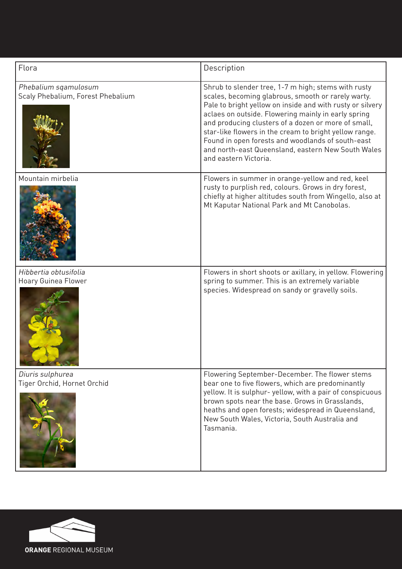| Flora                                                     | Description                                                                                                                                                                                                                                                                                                                                                                                                                                                                        |
|-----------------------------------------------------------|------------------------------------------------------------------------------------------------------------------------------------------------------------------------------------------------------------------------------------------------------------------------------------------------------------------------------------------------------------------------------------------------------------------------------------------------------------------------------------|
| Phebalium sqamulosum<br>Scaly Phebalium, Forest Phebalium | Shrub to slender tree, 1-7 m high; stems with rusty<br>scales, becoming glabrous, smooth or rarely warty.<br>Pale to bright yellow on inside and with rusty or silvery<br>aclaes on outside. Flowering mainly in early spring<br>and producing clusters of a dozen or more of small,<br>star-like flowers in the cream to bright yellow range.<br>Found in open forests and woodlands of south-east<br>and north-east Queensland, eastern New South Wales<br>and eastern Victoria. |
| Mountain mirbelia                                         | Flowers in summer in orange-yellow and red, keel<br>rusty to purplish red, colours. Grows in dry forest,<br>chiefly at higher altitudes south from Wingello, also at<br>Mt Kaputar National Park and Mt Canobolas.                                                                                                                                                                                                                                                                 |
| Hibbertia obtusifolia<br>Hoary Guinea Flower              | Flowers in short shoots or axillary, in yellow. Flowering<br>spring to summer. This is an extremely variable<br>species. Widespread on sandy or gravelly soils.                                                                                                                                                                                                                                                                                                                    |
| Diuris sulphurea<br>Tiger Orchid, Hornet Orchid           | Flowering September-December. The flower stems<br>bear one to five flowers, which are predominantly<br>yellow. It is sulphur-yellow, with a pair of conspicuous<br>brown spots near the base. Grows in Grasslands,<br>heaths and open forests; widespread in Queensland,<br>New South Wales, Victoria, South Australia and<br>Tasmania.                                                                                                                                            |

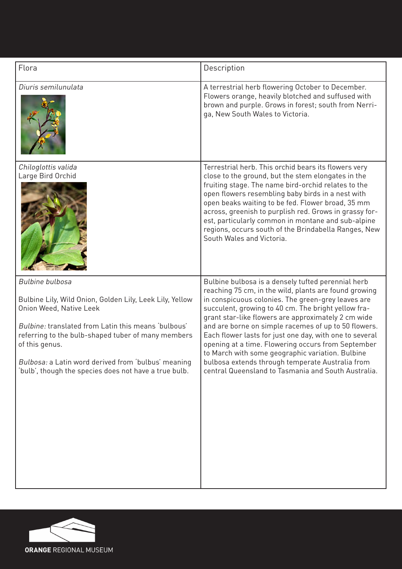| Flora                                                                                                                                                                                                                                                                                                                                                        | Description                                                                                                                                                                                                                                                                                                                                                                                                                                                                                                                                                                                                             |
|--------------------------------------------------------------------------------------------------------------------------------------------------------------------------------------------------------------------------------------------------------------------------------------------------------------------------------------------------------------|-------------------------------------------------------------------------------------------------------------------------------------------------------------------------------------------------------------------------------------------------------------------------------------------------------------------------------------------------------------------------------------------------------------------------------------------------------------------------------------------------------------------------------------------------------------------------------------------------------------------------|
| Diuris semilunulata                                                                                                                                                                                                                                                                                                                                          | A terrestrial herb flowering October to December.<br>Flowers orange, heavily blotched and suffused with<br>brown and purple. Grows in forest; south from Nerri-<br>ga, New South Wales to Victoria.                                                                                                                                                                                                                                                                                                                                                                                                                     |
| Chiloglottis valida<br>Large Bird Orchid                                                                                                                                                                                                                                                                                                                     | Terrestrial herb. This orchid bears its flowers very<br>close to the ground, but the stem elongates in the<br>fruiting stage. The name bird-orchid relates to the<br>open flowers resembling baby birds in a nest with<br>open beaks waiting to be fed. Flower broad, 35 mm<br>across, greenish to purplish red. Grows in grassy for-<br>est, particularly common in montane and sub-alpine<br>regions, occurs south of the Brindabella Ranges, New<br>South Wales and Victoria.                                                                                                                                        |
| <b>Bulbine bulbosa</b><br>Bulbine Lily, Wild Onion, Golden Lily, Leek Lily, Yellow<br>Onion Weed, Native Leek<br>Bulbine: translated from Latin this means 'bulbous'<br>referring to the bulb-shaped tuber of many members<br>of this genus.<br>Bulbosa: a Latin word derived from 'bulbus' meaning<br>'bulb', though the species does not have a true bulb. | Bulbine bulbosa is a densely tufted perennial herb<br>reaching 75 cm, in the wild, plants are found growing<br>in conspicuous colonies. The green-grey leaves are<br>succulent, growing to 40 cm. The bright yellow fra-<br>grant star-like flowers are approximately 2 cm wide<br>and are borne on simple racemes of up to 50 flowers.<br>Each flower lasts for just one day, with one to several<br>opening at a time. Flowering occurs from September<br>to March with some geographic variation. Bulbine<br>bulbosa extends through temperate Australia from<br>central Queensland to Tasmania and South Australia. |

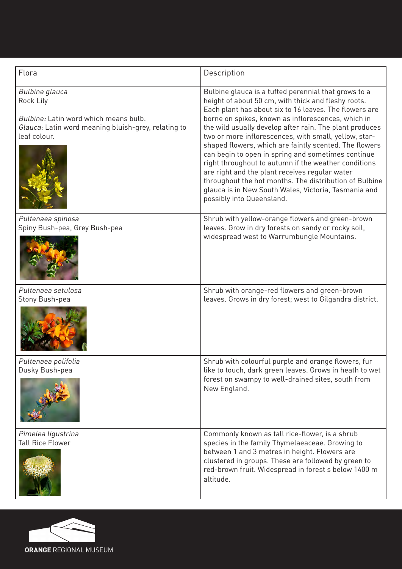| Flora                                                                                                                                              | Description                                                                                                                                                                                                                                                                                                                                                                                                                                                                                                                                                                                                                                                                                                              |
|----------------------------------------------------------------------------------------------------------------------------------------------------|--------------------------------------------------------------------------------------------------------------------------------------------------------------------------------------------------------------------------------------------------------------------------------------------------------------------------------------------------------------------------------------------------------------------------------------------------------------------------------------------------------------------------------------------------------------------------------------------------------------------------------------------------------------------------------------------------------------------------|
| <b>Bulbine</b> glauca<br>Rock Lily<br>Bulbine: Latin word which means bulb.<br>Glauca: Latin word meaning bluish-grey, relating to<br>leaf colour. | Bulbine glauca is a tufted perennial that grows to a<br>height of about 50 cm, with thick and fleshy roots.<br>Each plant has about six to 16 leaves. The flowers are<br>borne on spikes, known as inflorescences, which in<br>the wild usually develop after rain. The plant produces<br>two or more inflorescences, with small, yellow, star-<br>shaped flowers, which are faintly scented. The flowers<br>can begin to open in spring and sometimes continue<br>right throughout to autumn if the weather conditions<br>are right and the plant receives regular water<br>throughout the hot months. The distribution of Bulbine<br>glauca is in New South Wales, Victoria, Tasmania and<br>possibly into Queensland. |
| Pultenaea spinosa<br>Spiny Bush-pea, Grey Bush-pea                                                                                                 | Shrub with yellow-orange flowers and green-brown<br>leaves. Grow in dry forests on sandy or rocky soil,<br>widespread west to Warrumbungle Mountains.                                                                                                                                                                                                                                                                                                                                                                                                                                                                                                                                                                    |
| Pultenaea setulosa<br>Stony Bush-pea                                                                                                               | Shrub with orange-red flowers and green-brown<br>leaves. Grows in dry forest; west to Gilgandra district.                                                                                                                                                                                                                                                                                                                                                                                                                                                                                                                                                                                                                |
| Pultenaea polifolia<br>Dusky Bush-pea                                                                                                              | Shrub with colourful purple and orange flowers, fur<br>like to touch, dark green leaves. Grows in heath to wet<br>forest on swampy to well-drained sites, south from<br>New England.                                                                                                                                                                                                                                                                                                                                                                                                                                                                                                                                     |
| Pimelea ligustrina<br><b>Tall Rice Flower</b>                                                                                                      | Commonly known as tall rice-flower, is a shrub<br>species in the family Thymelaeaceae. Growing to<br>between 1 and 3 metres in height. Flowers are<br>clustered in groups. These are followed by green to<br>red-brown fruit. Widespread in forest s below 1400 m<br>altitude.                                                                                                                                                                                                                                                                                                                                                                                                                                           |

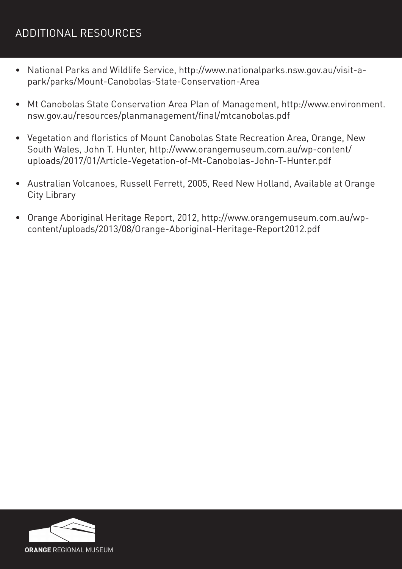## ADDITIONAL RESOURCES

- National Parks and Wildlife Service, http://www.nationalparks.nsw.gov.au/visit-apark/parks/Mount-Canobolas-State-Conservation-Area
- • Mt Canobolas State Conservation Area Plan of Management, http://www.environment. nsw.gov.au/resources/planmanagement/final/mtcanobolas.pdf
- Vegetation and floristics of Mount Canobolas State Recreation Area, Orange, New South Wales, John T. Hunter, http://www.orangemuseum.com.au/wp-content/ uploads/2017/01/Article-Vegetation-of-Mt-Canobolas-John-T-Hunter.pdf
- Australian Volcanoes, Russell Ferrett, 2005, Reed New Holland, Available at Orange City Library
- • Orange Aboriginal Heritage Report, 2012, http://www.orangemuseum.com.au/wpcontent/uploads/2013/08/Orange-Aboriginal-Heritage-Report2012.pdf

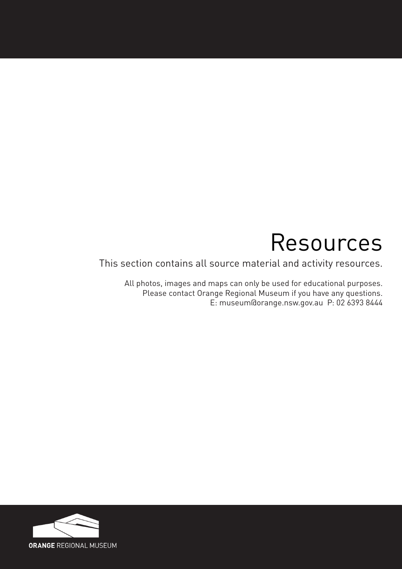# Resources

This section contains all source material and activity resources.

All photos, images and maps can only be used for educational purposes. Please contact Orange Regional Museum if you have any questions. E: museum@orange.nsw.gov.au P: 02 6393 8444

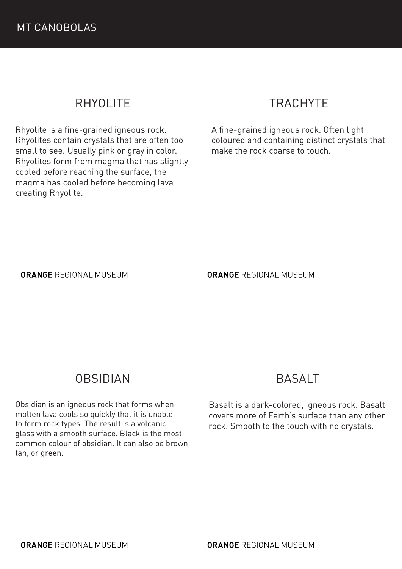# RHYOLITE

Rhyolite is a fine-grained igneous rock. Rhyolites contain crystals that are often too small to see. Usually pink or gray in color. Rhyolites form from magma that has slightly cooled before reaching the surface, the magma has cooled before becoming lava creating Rhyolite.

# TRACHYTE

A fine-grained igneous rock. Often light coloured and containing distinct crystals that make the rock coarse to touch.

#### **ORANGE REGIONAL MUSEUM**

**ORANGE REGIONAL MUSEUM** 

#### OBSIDIAN

Obsidian is an igneous rock that forms when molten lava cools so quickly that it is unable to form rock types. The result is a volcanic glass with a smooth surface. Black is the most common colour of obsidian. It can also be brown, tan, or green.

#### BASALT

Basalt is a dark-colored, igneous rock. Basalt covers more of Earth's surface than any other rock. Smooth to the touch with no crystals.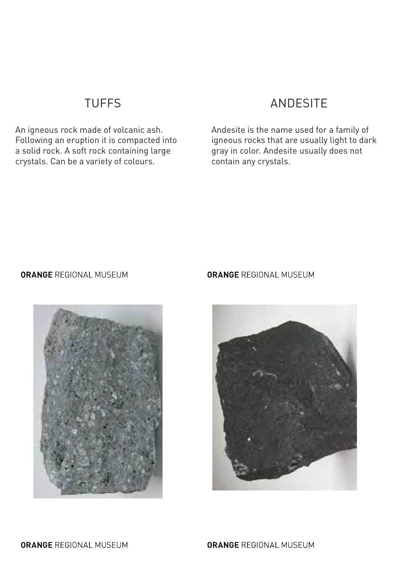## TUFFS

An igneous rock made of volcanic ash. Following an eruption it is compacted into a solid rock. A soft rock containing large crystals. Can be a variety of colours.

## ANDESITE

Andesite is the name used for a family of igneous rocks that are usually light to dark gray in color. Andesite usually does not contain any crystals.

#### **ORANGE REGIONAL MUSEUM**